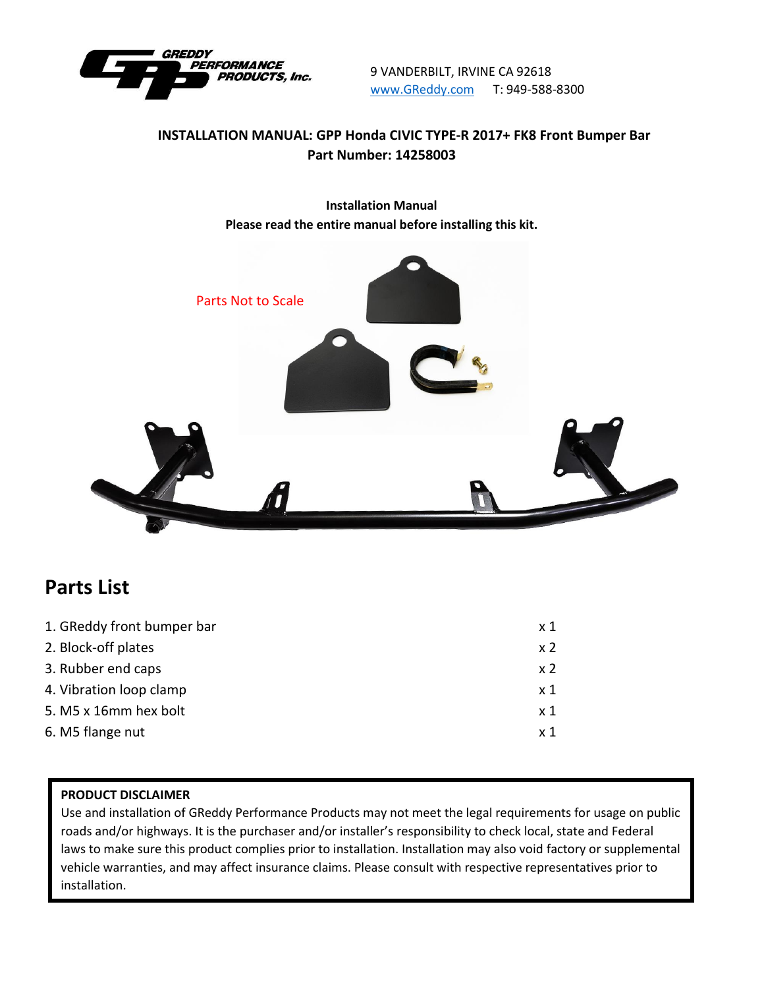

9 VANDERBILT, IRVINE CA 92618 [www.GReddy.com](http://www.greddy.com/) T: 949-588-8300

## **INSTALLATION MANUAL: GPP Honda CIVIC TYPE-R 2017+ FK8 Front Bumper Bar Part Number: 14258003**

**Installation Manual Please read the entire manual before installing this kit.**



# **Parts List**

| 1. GReddy front bumper bar | x 1            |
|----------------------------|----------------|
| 2. Block-off plates        | x <sub>2</sub> |
| 3. Rubber end caps         | x <sub>2</sub> |
| 4. Vibration loop clamp    | x 1            |
| 5. M5 x 16mm hex bolt      | x 1            |
| 6. M5 flange nut           | x 1            |
|                            |                |

#### **PRODUCT DISCLAIMER**

Use and installation of GReddy Performance Products may not meet the legal requirements for usage on public roads and/or highways. It is the purchaser and/or installer's responsibility to check local, state and Federal laws to make sure this product complies prior to installation. Installation may also void factory or supplemental vehicle warranties, and may affect insurance claims. Please consult with respective representatives prior to installation.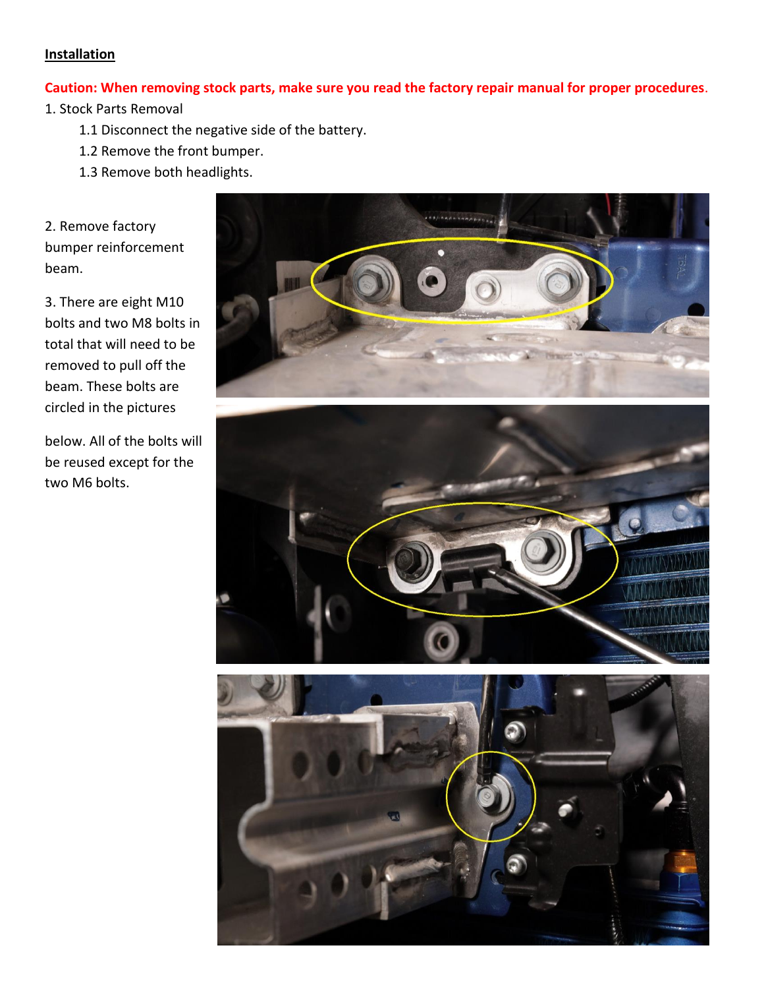#### **Installation**

#### **Caution: When removing stock parts, make sure you read the factory repair manual for proper procedures**.

1. Stock Parts Removal

- 1.1 Disconnect the negative side of the battery.
- 1.2 Remove the front bumper.
- 1.3 Remove both headlights.

2. Remove factory bumper reinforcement beam.

3. There are eight M10 bolts and two M8 bolts in total that will need to be removed to pull off the beam. These bolts are circled in the pictures

below. All of the bolts will be reused except for the two M6 bolts.





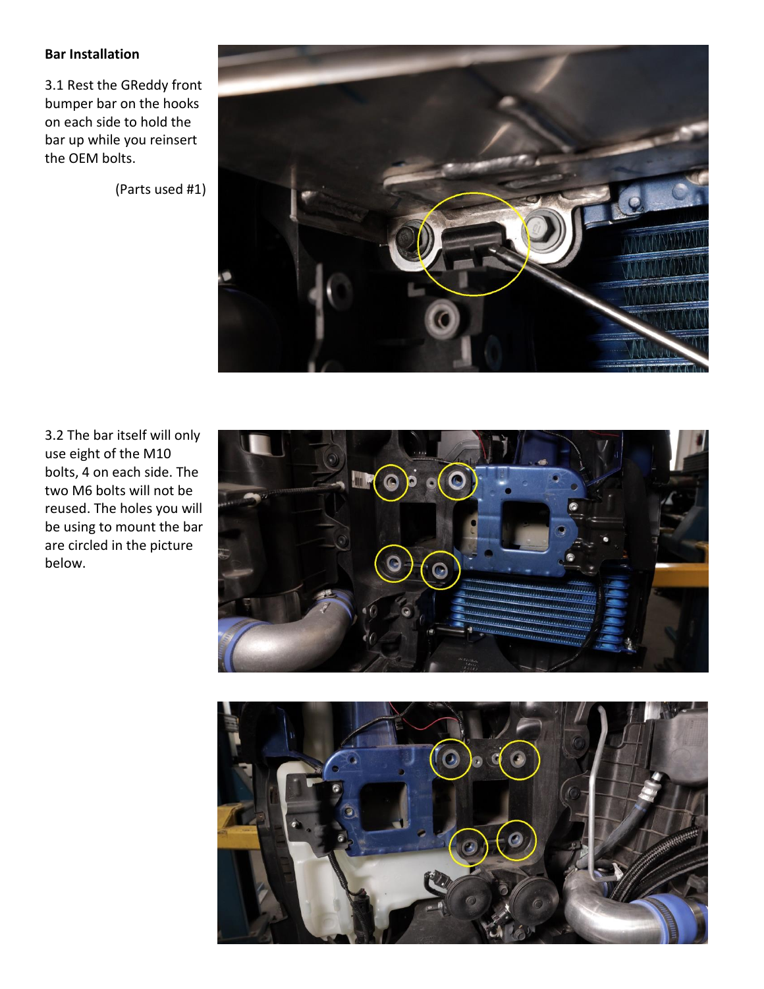### **Bar Installation**

3.1 Rest the GReddy front bumper bar on the hooks on each side to hold the bar up while you reinsert the OEM bolts.

(Parts used #1)



3.2 The bar itself will only use eight of the M10 bolts, 4 on each side. The two M6 bolts will not be reused. The holes you will be using to mount the bar are circled in the picture below.



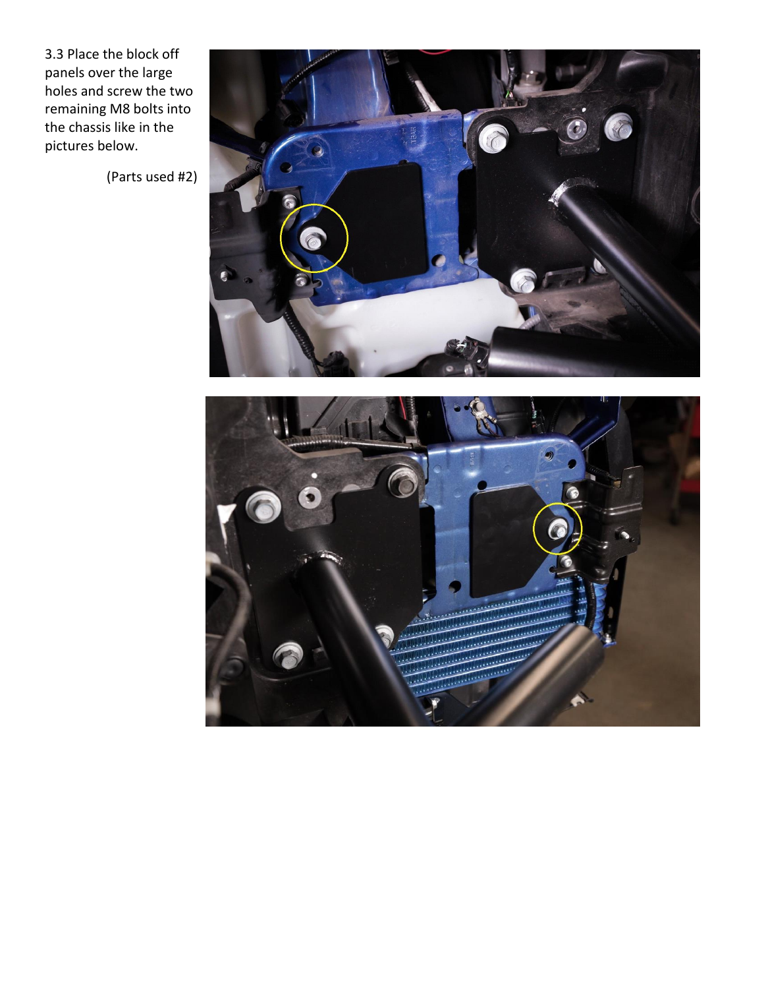3.3 Place the block off panels over the large holes and screw the two remaining M8 bolts into the chassis like in the pictures below.

(Parts used #2)